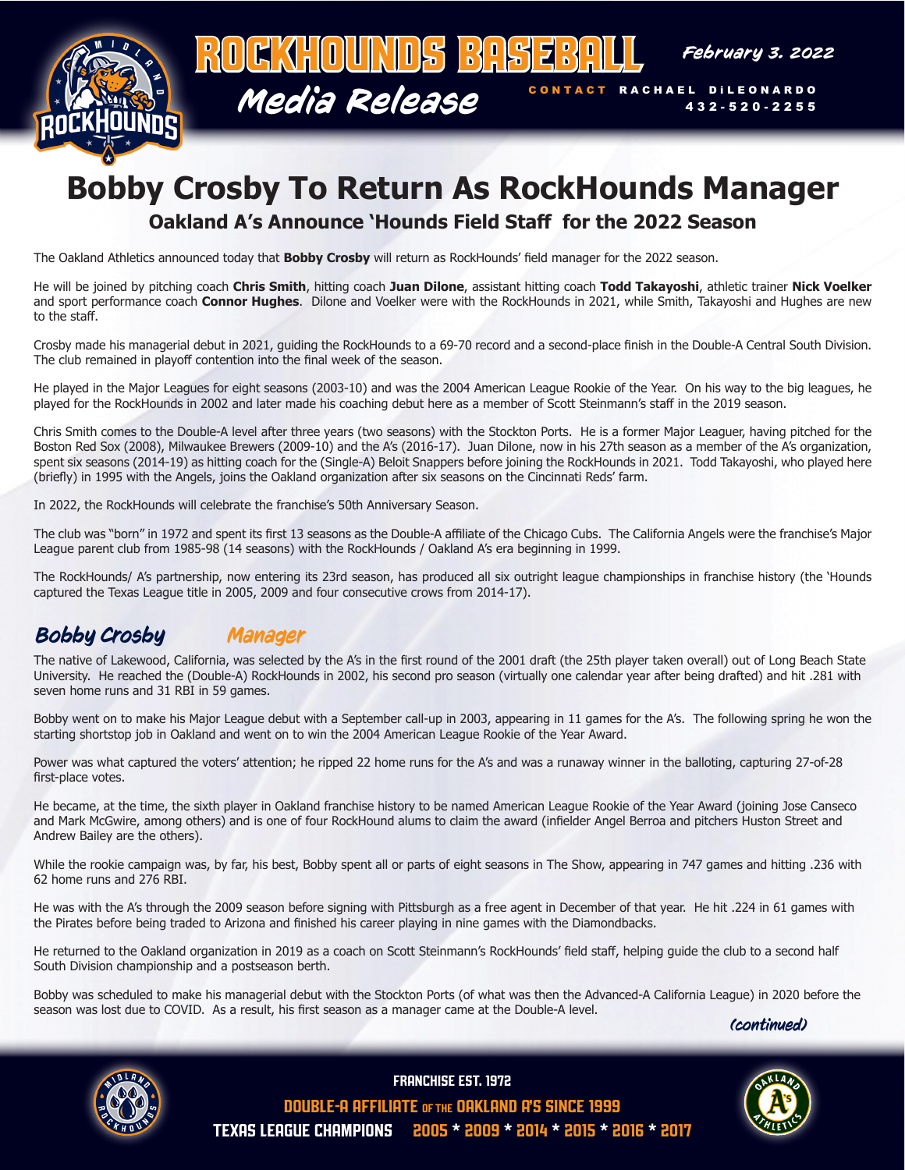

# **Bobby Crosby To Return As RockHounds Manager**

#### **Oakland A's Announce 'Hounds Field Staff for the 2022 Season**

The Oakland Athletics announced today that **Bobby Crosby** will return as RockHounds' field manager for the 2022 season.

He will be joined by pitching coach **Chris Smith**, hitting coach **Juan Dilone**, assistant hitting coach **Todd Takayoshi**, athletic trainer **Nick Voelker** and sport performance coach **Connor Hughes**. Dilone and Voelker were with the RockHounds in 2021, while Smith, Takayoshi and Hughes are new to the staff.

Crosby made his managerial debut in 2021, guiding the RockHounds to a 69-70 record and a second-place finish in the Double-A Central South Division. The club remained in playoff contention into the final week of the season.

He played in the Major Leagues for eight seasons (2003-10) and was the 2004 American League Rookie of the Year. On his way to the big leagues, he played for the RockHounds in 2002 and later made his coaching debut here as a member of Scott Steinmann's staff in the 2019 season.

Chris Smith comes to the Double-A level after three years (two seasons) with the Stockton Ports. He is a former Major Leaguer, having pitched for the Boston Red Sox (2008), Milwaukee Brewers (2009-10) and the A's (2016-17). Juan Dilone, now in his 27th season as a member of the A's organization, spent six seasons (2014-19) as hitting coach for the (Single-A) Beloit Snappers before joining the RockHounds in 2021. Todd Takayoshi, who played here (briefly) in 1995 with the Angels, joins the Oakland organization after six seasons on the Cincinnati Reds' farm.

In 2022, the RockHounds will celebrate the franchise's 50th Anniversary Season.

The club was "born" in 1972 and spent its first 13 seasons as the Double-A affiliate of the Chicago Cubs. The California Angels were the franchise's Major League parent club from 1985-98 (14 seasons) with the RockHounds / Oakland A's era beginning in 1999.

The RockHounds/ A's partnership, now entering its 23rd season, has produced all six outright league championships in franchise history (the 'Hounds captured the Texas League title in 2005, 2009 and four consecutive crows from 2014-17).

### Bobby Crosby Manager

The native of Lakewood, California, was selected by the A's in the first round of the 2001 draft (the 25th player taken overall) out of Long Beach State University. He reached the (Double-A) RockHounds in 2002, his second pro season (virtually one calendar year after being drafted) and hit .281 with seven home runs and 31 RBI in 59 games.

Bobby went on to make his Major League debut with a September call-up in 2003, appearing in 11 games for the A's. The following spring he won the starting shortstop job in Oakland and went on to win the 2004 American League Rookie of the Year Award.

Power was what captured the voters' attention; he ripped 22 home runs for the A's and was a runaway winner in the balloting, capturing 27-of-28 first-place votes.

He became, at the time, the sixth player in Oakland franchise history to be named American League Rookie of the Year Award (joining Jose Canseco and Mark McGwire, among others) and is one of four RockHound alums to claim the award (infielder Angel Berroa and pitchers Huston Street and Andrew Bailey are the others).

While the rookie campaign was, by far, his best, Bobby spent all or parts of eight seasons in The Show, appearing in 747 games and hitting .236 with 62 home runs and 276 RBI.

He was with the A's through the 2009 season before signing with Pittsburgh as a free agent in December of that year. He hit .224 in 61 games with the Pirates before being traded to Arizona and finished his career playing in nine games with the Diamondbacks.

He returned to the Oakland organization in 2019 as a coach on Scott Steinmann's RockHounds' field staff, helping guide the club to a second half South Division championship and a postseason berth.

Bobby was scheduled to make his managerial debut with the Stockton Ports (of what was then the Advanced-A California League) in 2020 before the season was lost due to COVID. As a result, his first season as a manager came at the Double-A level.

(continued)



FrANCHISE EST. 1972



DOUBLE-A AFFILIATE OF THE OAKLAND A'S SINCE 1999 Texas League Champions 2005 \* 2009 \* 2014 \* 2015 \* 2016 \* 2017